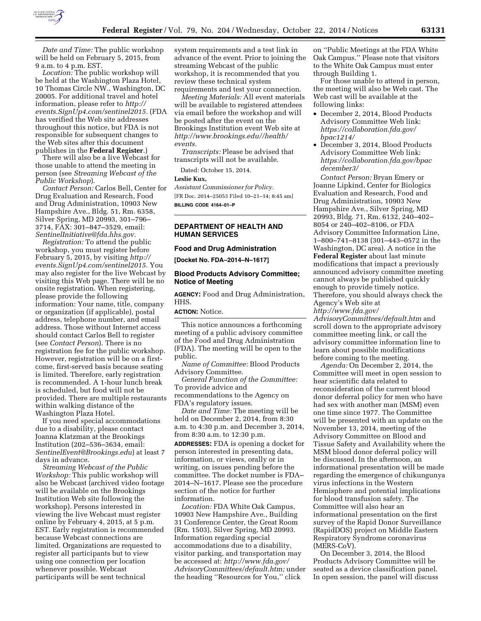

*Date and Time:* The public workshop will be held on February 5, 2015, from 9 a.m. to 4 p.m. EST.

*Location:* The public workshop will be held at the Washington Plaza Hotel, 10 Thomas Circle NW., Washington, DC 20005. For additional travel and hotel information, please refer to *[http://](http://events.SignUp4.com/sentinel2015) [events.SignUp4.com/sentinel2015.](http://events.SignUp4.com/sentinel2015)* (FDA has verified the Web site addresses throughout this notice, but FDA is not responsible for subsequent changes to the Web sites after this document publishes in the **Federal Register**.)

There will also be a live Webcast for those unable to attend the meeting in person (see *Streaming Webcast of the Public Workshop*).

*Contact Person:* Carlos Bell, Center for Drug Evaluation and Research, Food and Drug Administration, 10903 New Hampshire Ave., Bldg. 51, Rm. 6358, Silver Spring, MD 20993, 301–796– 3714, FAX: 301–847–3529, email: *[SentinelInitiative@fda.hhs.gov.](mailto:SentinelInitiative@fda.hhs.gov)* 

*Registration:* To attend the public workshop, you must register before February 5, 2015, by visiting *[http://](http://events.SignUp4.com/sentinel2015) [events.SignUp4.com/sentinel2015.](http://events.SignUp4.com/sentinel2015)* You may also register for the live Webcast by visiting this Web page. There will be no onsite registration. When registering, please provide the following information: Your name, title, company or organization (if applicable), postal address, telephone number, and email address. Those without Internet access should contact Carlos Bell to register (see *Contact Person*). There is no registration fee for the public workshop. However, registration will be on a firstcome, first-served basis because seating is limited. Therefore, early registration is recommended. A 1-hour lunch break is scheduled, but food will not be provided. There are multiple restaurants within walking distance of the Washington Plaza Hotel.

If you need special accommodations due to a disability, please contact Joanna Klatzman at the Brookings Institution (202–536–3634, email: *[SentinelEvent@Brookings.edu](mailto:SentinelEvent@Brookings.edu)*) at least 7 days in advance.

*Streaming Webcast of the Public Workshop:* This public workshop will also be Webcast (archived video footage will be available on the Brookings Institution Web site following the workshop). Persons interested in viewing the live Webcast must register online by February 4, 2015, at 5 p.m. EST. Early registration is recommended because Webcast connections are limited. Organizations are requested to register all participants but to view using one connection per location whenever possible. Webcast participants will be sent technical

system requirements and a test link in advance of the event. Prior to joining the streaming Webcast of the public workshop, it is recommended that you review these technical system requirements and test your connection.

*Meeting Materials:* All event materials will be available to registered attendees via email before the workshop and will be posted after the event on the Brookings Institution event Web site at *[http://www.brookings.edu//health/](http://www.brookings.edu//health/events) [events.](http://www.brookings.edu//health/events)* 

*Transcripts:* Please be advised that transcripts will not be available.

Dated: October 15, 2014.

#### **Leslie Kux,**

*Assistant Commissioner for Policy.*  [FR Doc. 2014–25053 Filed 10–21–14; 8:45 am] **BILLING CODE 4164–01–P** 

# **DEPARTMENT OF HEALTH AND HUMAN SERVICES**

#### **Food and Drug Administration**

**[Docket No. FDA–2014–N–1617]** 

## **Blood Products Advisory Committee; Notice of Meeting**

**AGENCY:** Food and Drug Administration, HHS.

## **ACTION:** Notice.

This notice announces a forthcoming meeting of a public advisory committee of the Food and Drug Administration (FDA). The meeting will be open to the public.

*Name of Committee:* Blood Products Advisory Committee.

*General Function of the Committee:*  To provide advice and recommendations to the Agency on FDA's regulatory issues.

*Date and Time:* The meeting will be held on December 2, 2014, from 8:30 a.m. to 4:30 p.m. and December 3, 2014, from 8:30 a.m. to 12:30 p.m.

**ADDRESSES:** FDA is opening a docket for person interested in presenting data, information, or views, orally or in writing, on issues pending before the committee. The docket number is FDA– 2014–N–1617. Please see the procedure section of the notice for further information.

*Location:* FDA White Oak Campus, 10903 New Hampshire Ave., Building 31 Conference Center, the Great Room (Rm. 1503), Silver Spring, MD 20993. Information regarding special accommodations due to a disability, visitor parking, and transportation may be accessed at: *[http://www.fda.gov/](http://www.fda.gov/AdvisoryCommittees/default.htm) [AdvisoryCommittees/default.htm;](http://www.fda.gov/AdvisoryCommittees/default.htm)* under the heading ''Resources for You,'' click

on ''Public Meetings at the FDA White Oak Campus.'' Please note that visitors to the White Oak Campus must enter through Building 1.

For those unable to attend in person, the meeting will also be Web cast. The Web cast will be available at the following links:

- December 2, 2014, Blood Products Advisory Committee Web link: *[https://collaboration.fda.gov/](https://collaboration.fda.gov/bpac1214/) [bpac1214/](https://collaboration.fda.gov/bpac1214/)*
- December 3, 2014, Blood Products Advisory Committee Web link: *[https://collaboration.fda.gov/bpac](https://collaboration.fda.gov/bpacdecember3/) [december3/](https://collaboration.fda.gov/bpacdecember3/)*

*Contact Person:* Bryan Emery or Joanne Lipkind, Center for Biologics Evaluation and Research, Food and Drug Administration, 10903 New Hampshire Ave., Silver Spring, MD 20993, Bldg. 71, Rm. 6132, 240–402– 8054 or 240–402–8106, or FDA Advisory Committee Information Line, 1–800–741–8138 (301–443–0572 in the Washington, DC area). A notice in the **Federal Register** about last minute modifications that impact a previously announced advisory committee meeting cannot always be published quickly enough to provide timely notice. Therefore, you should always check the Agency's Web site at

*[http://www.fda.gov/](http://www.fda.gov/AdvisoryCommittees/default.htm)*

*[AdvisoryCommittees/default.htm](http://www.fda.gov/AdvisoryCommittees/default.htm)* and scroll down to the appropriate advisory committee meeting link, or call the advisory committee information line to learn about possible modifications before coming to the meeting.

*Agenda:* On December 2, 2014, the Committee will meet in open session to hear scientific data related to reconsideration of the current blood donor deferral policy for men who have had sex with another man (MSM) even one time since 1977. The Committee will be presented with an update on the November 13, 2014, meeting of the Advisory Committee on Blood and Tissue Safety and Availability where the MSM blood donor deferral policy will be discussed. In the afternoon, an informational presentation will be made regarding the emergence of chikungunya virus infections in the Western Hemisphere and potential implications for blood transfusion safety. The Committee will also hear an informational presentation on the first survey of the Rapid Donor Surveillance (RapidDOS) project on Middle Eastern Respiratory Syndrome coronavirus (MERS-CoV).

On December 3, 2014, the Blood Products Advisory Committee will be seated as a device classification panel. In open session, the panel will discuss